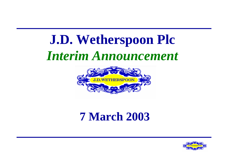# **J.D. Wetherspoon Plc**  *Interim Announcement*



# **7 March 2003**

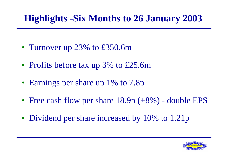## **Highlights -Six Months to 26 January 2003**

- Turnover up 23% to £350.6m
- Profits before tax up 3% to £25.6m
- Earnings per share up 1% to 7.8p
- Free cash flow per share 18.9p (+8%) double EPS
- Dividend per share increased by 10% to 1.21p

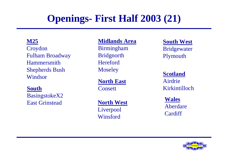# **Openings- First Half 2003 (21)**

**M25** Croydon Fulham Broadway HammersmithShepherds Bush Windsor

#### **South**

BasingstokeX2 East Grinstead

#### **Midlands Area**

Birmingham **Bridgnorth Hereford Moseley** 

**North East Consett** 

**North West** Liverpool Winsford

**South West** Bridgewater Plymouth

**Scotland** AirdrieKirkintilloch

**Wales** Aberdare**Cardiff** 

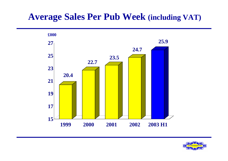#### **Average Sales Per Pub Week (including VAT)**



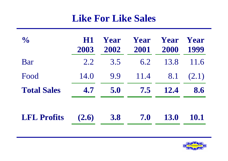#### **Like For Like Sales**

| $\frac{1}{2}$      | <b>H1</b><br>2003 | Year<br>2002 | Year<br>2001 | Year<br>2000 | Year<br>1999 |
|--------------------|-------------------|--------------|--------------|--------------|--------------|
| Bar                | 2.2               | 3.5          | 6.2          | 13.8         | 11.6         |
| Food               | 14.0              | 9.9          | 11.4         | 8.1          | (2.1)        |
| <b>Total Sales</b> | 4.7               | 5.0          | 7.5          | <b>12.4</b>  | 8.6          |
| <b>LFL Profits</b> | (2.6)             | <b>3.8</b>   | 7.0          | <b>13.0</b>  | 10.1         |

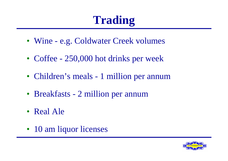# **Trading**

- Wine e.g. Coldwater Creek volumes
- Coffee 250,000 hot drinks per week
- Children's meals 1 million per annum
- Breakfasts 2 million per annum
- Real Ale
- 10 am liquor licenses

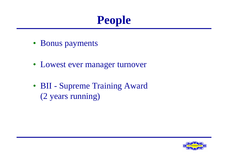

- Bonus payments
- Lowest ever manager turnover
- BII Supreme Training Award (2 years running)

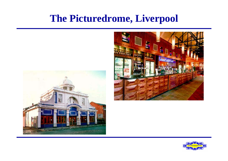## **The Picturedrome, Liverpool**





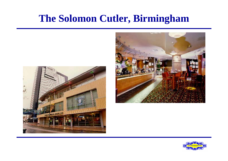## **The Solomon Cutler, Birmingham**





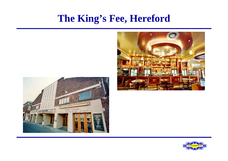#### **The King's Fee, Hereford**





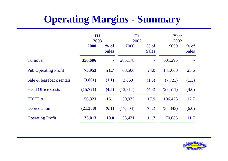## **Operating Margins - Summary**

|                             | H1<br>2003 |                      | H1<br>2002 |                        | Year<br>2002 |                        |
|-----------------------------|------------|----------------------|------------|------------------------|--------------|------------------------|
|                             | £000       | % of<br><b>Sales</b> | £000       | $%$ of<br><b>Sales</b> | £000         | $%$ of<br><b>Sales</b> |
| Turnover                    | 350,606    |                      | 285,178    |                        | 601,295      |                        |
| <b>Pub Operating Profit</b> | 75,953     | 21.7                 | 68,506     | 24.0                   | 141,660      | 23.6                   |
| Sale & leaseback rentals    | (3,861)    | (1.1)                | (3,860)    | (1.3)                  | (7, 721)     | (1.3)                  |
| <b>Head Office Costs</b>    | (15,771)   | (4.5)                | (13,711)   | (4.8)                  | (27,511)     | (4.6)                  |
| <b>EBITDA</b>               | 56,321     | <b>16.1</b>          | 50,935     | 17.9                   | 106,428      | 17.7                   |
| Depreciation                | (21,308)   | (6.1)                | (17,504)   | (6.2)                  | (36,343)     | (6.0)                  |
| <b>Operating Profit</b>     | 35,013     | <b>10.0</b>          | 33,431     | 11.7                   | 70,085       | 11.7                   |

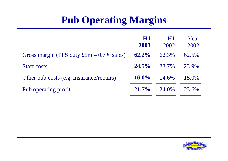# **Pub Operating Margins**

|                                             | HI<br>2003 | H <sub>1</sub><br>2002 | Year<br>2002 |
|---------------------------------------------|------------|------------------------|--------------|
| Gross margin (PPS duty $£5m - 0.7\%$ sales) | $62.2\%$   | 62.3%                  | 62.5%        |
| <b>Staff</b> costs                          | $24.5\%$   | 23.7%                  | 23.9%        |
| Other pub costs (e.g. insurance/repairs)    | $16.0\%$   | 14.6%                  | 15.0%        |
| Pub operating profit                        | $21.7\%$   | 24.0%                  | 23.6%        |

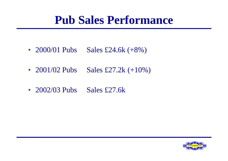# **Pub Sales Performance**

- 2000/01 Pubs Sales £24.6k  $(+8\%)$
- 2001/02 Pubs Sales £27.2k  $(+10\%)$
- 2002/03 Pubs Sales £27.6k

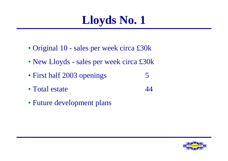

- Original 10 sales per week circa £30k
- New Lloyds sales per week circa £30k
- First half 2003 openings 5
- Total estate 44
- Future development plans

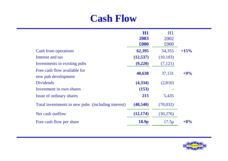#### **Cash Flow**

|                                                    | H1        | H1        |        |
|----------------------------------------------------|-----------|-----------|--------|
|                                                    | 2003      | 2002      |        |
|                                                    | £000      | £000      |        |
| Cash from operations                               | 62,395    | 54,355    | $+15%$ |
| Interest and tax                                   | (12, 537) | (10, 103) |        |
| Investments in existing pubs                       | (9,220)   | (7,121)   |        |
| Free cash flow available for                       | 40,638    |           | $+9%$  |
| new pub development                                |           | 37,131    |        |
| <b>Dividends</b>                                   | (4, 334)  | (2,810)   |        |
| Investment in own shares                           | (153)     |           |        |
| Issue of ordinary shares                           | 215       | 5,435     |        |
| Total investments in new pubs (including interest) | (48, 540) | (70,032)  |        |
| Net cash outflow                                   | (12, 174) | (30,276)  |        |
| Free cash flow per share                           | 18.9p     | 17.5p     | $+8%$  |

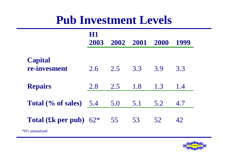# **Pub Investment Levels**

|                                                           | 1801<br>2003 |     | 2002 2001 2000 |     | 1999 |
|-----------------------------------------------------------|--------------|-----|----------------|-----|------|
| <b>Capital</b><br>re-invesment                            | 2.6          | 2.5 | 3.3            | 3.9 | 3.3  |
| <b>Repairs</b>                                            | 2.8          | 2.5 | 1.8            | 1.3 | 1.4  |
| Total $(\%$ of sales) 5.4                                 |              | 5.0 | 5.1            | 5.2 | 4.7  |
| <b>Total (£k per pub)</b> $62^*$<br><i>*H1</i> annualised |              | 55  | 53             | 52  | 42   |

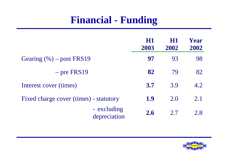## **Financial - Funding**

|                                        | HI<br>2003 | HI<br>2002 | Year<br>2002 |
|----------------------------------------|------------|------------|--------------|
| Gearing $(\% )$ – post FRS19           | 97         | 93         | 98           |
| $-$ pre FRS19                          | 82         | 79         | 82           |
| Interest cover (times)                 | <b>3.7</b> | 3.9        | 4.2          |
| Fixed charge cover (times) - statutory | 1.9        | 2.0        | 2.1          |
| - excluding<br>depreciation            | 2.6        | 2.7        | 2.8          |

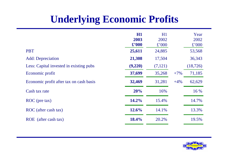## **Underlying Economic Profits**

|                                         | HI<br>2003<br>$\pounds$ '000 | H1<br>2002<br>$\pounds$ '000 |       | Year<br>2002<br>$\pounds$ '000 |
|-----------------------------------------|------------------------------|------------------------------|-------|--------------------------------|
| <b>PBT</b>                              | 25,611                       | 24,885                       |       | 53,568                         |
| <b>Add:</b> Depreciation                | 21,308                       | 17,504                       |       | 36,343                         |
| Less: Capital invested in existing pubs | (9,220)                      | (7,121)                      |       | (18, 726)                      |
| Economic profit                         | 37,699                       | 35,268                       | $+7%$ | 71,185                         |
| Economic profit after tax on cash basis | 32,469                       | 31,281                       | $+4%$ | 62,629                         |
| Cash tax rate                           | 20%                          | 16%                          |       | 16 %                           |
| ROC (pre tax)                           | 14.2%                        | 15.4%                        |       | 14.7%                          |
| ROC (after cash tax)                    | 12.6%                        | 14.1%                        |       | 13.3%                          |
| (after cash tax)<br>ROE                 | 18.4%                        | 20.2%                        |       | 19.5%                          |

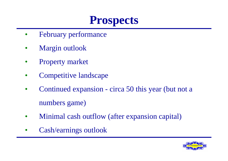# **Prospects**

- February performance
- Margin outlook
- Property market
- Competitive landscape
- Continued expansion circa 50 this year (but not a numbers game)
- Minimal cash outflow (after expansion capital)
- Cash/earnings outlook

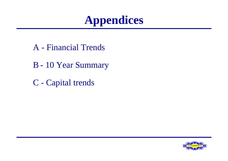

- A Financial Trends
- B 10 Year Summary
- C Capital trends

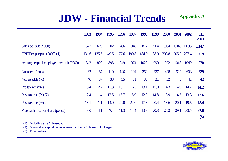#### **JDW - Financial Trends Appendix A**

|                                         | 1993  | 1994  | 1995  | 1996  | 1997  | 1998  | 1999  | <b>2000</b> | 2001 | 2002        | H1<br>2003  |
|-----------------------------------------|-------|-------|-------|-------|-------|-------|-------|-------------|------|-------------|-------------|
| Sales per pub $(\text{\pounds}000)$     | 577   | 619   | 702   | 786   | 848   | 872   | 904   | 1,004       |      | 1,040 1,093 | 1,147       |
| EBITDA per pub $(\text{\pounds}000)(1)$ | 131.6 | 135.6 | 149.5 | 177.6 | 190.8 | 184.9 | 188.0 | 203.8       |      | 205.9 207.4 | 196.9       |
| Average capital employed per pub (£000) | 842   | 820   | 895   | 949   | 974   | 1028  | 990   | 972         | 1018 | 1049        | 1,070       |
| Number of pubs                          | 67    | 87    | 110   | 146   | 194   | 252   | 327   | 428         | 522  | 608         | 629         |
| $%$ freeholds $(\%)$                    | 40    | 37    | 33    | 35    | 31    | 30    | 21    | 32          | 40   | 42          | 42          |
| Pre tax roc $(\%)(2)$                   | 13.4  | 12.2  | 13.3  | 16.1  | 16.3  | 13.1  | 15.0  | 14.3        | 14.9 | 14.7        | <b>14.2</b> |
| Post tax roc $(\%)(2)$                  | 12.4  | 11.4  | 12.5  | 15.7  | 15.9  | 12.9  | 14.8  | 13.9        | 14.5 | 13.3        | <b>12.6</b> |
| Post tax roe $(\%)$ 2                   | 18.1  | 11.1  | 14.0  | 20.0  | 22.0  | 17.8  | 20.4  | 18.6        | 20.1 | 19.5        | <b>18.4</b> |
| Free cashflow per share (pence)         | 3.0   | 4.1   | 7.4   | 11.3  | 14.4  | 13.3  | 20.3  | 24.2        | 29.1 | 33.5        | 37.8        |
|                                         |       |       |       |       |       |       |       |             |      |             | (3)         |

(1) Excluding sale & leaseback

(2) Return after capital re-investment and sale & leaseback charges

(3) H1 annualised

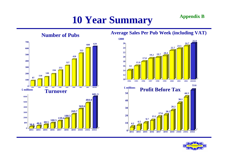# **10 Year Summary Appendix B**



#### **Average Sales Per Pub Week (including VAT)**